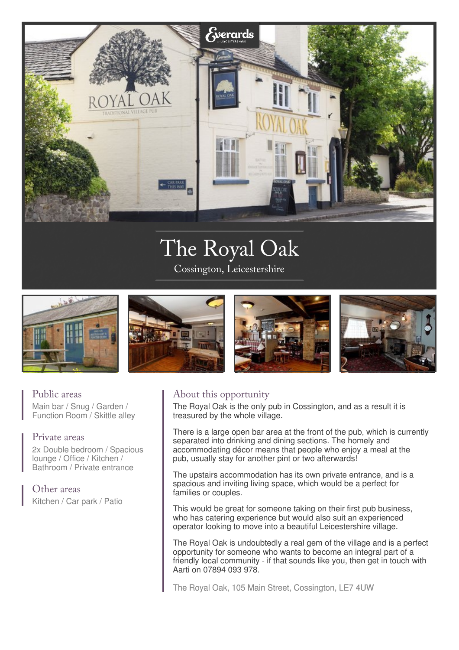

# The Royal Oak

Cossington, Leicestershire



## Public areas

Main bar / Snug / Garden / Function Room / Skittle alley

### Private areas

2x Double bedroom / Spacious lounge / Office / Kitchen / Bathroom / Private entrance

Other areas Kitchen / Car park / Patio

# About this opportunity

The Royal Oak is the only pub in Cossington, and as a result it is treasured by the whole village.

There is a large open bar area at the front of the pub, which is currently separated into drinking and dining sections. The homely and accommodating décor means that people who enjoy a meal at the pub, usually stay for another pint or two afterwards!

The upstairs accommodation has its own private entrance, and is a spacious and inviting living space, which would be a perfect for families or couples.

This would be great for someone taking on their first pub business, who has catering experience but would also suit an experienced operator looking to move into a beautiful Leicestershire village.

The Royal Oak is undoubtedly a real gem of the village and is a perfect opportunity for someone who wants to become an integral part of a friendly local community - if that sounds like you, then get in touch with Aarti on 07894 093 978.

The Royal Oak, 105 Main Street, Cossington, LE7 4UW